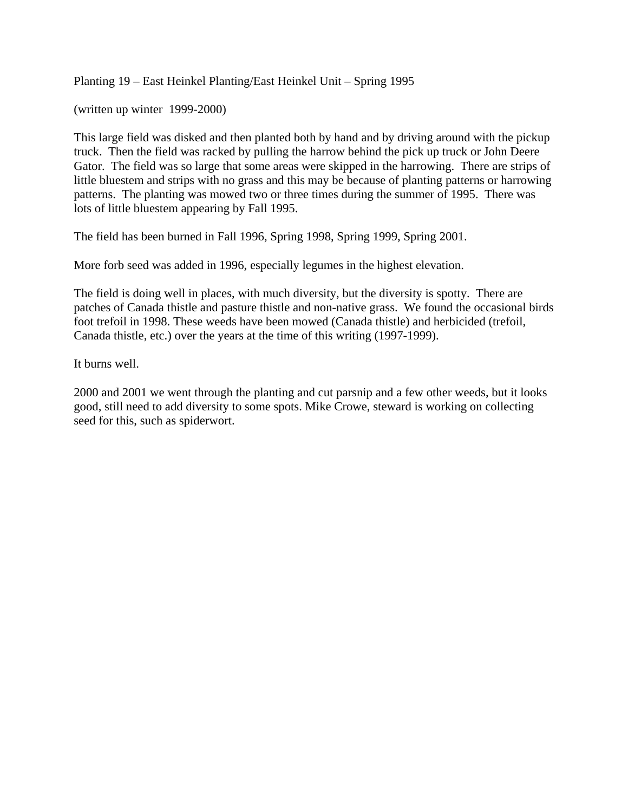Planting 19 – East Heinkel Planting/East Heinkel Unit – Spring 1995

(written up winter 1999-2000)

This large field was disked and then planted both by hand and by driving around with the pickup truck. Then the field was racked by pulling the harrow behind the pick up truck or John Deere Gator. The field was so large that some areas were skipped in the harrowing. There are strips of little bluestem and strips with no grass and this may be because of planting patterns or harrowing patterns. The planting was mowed two or three times during the summer of 1995. There was lots of little bluestem appearing by Fall 1995.

The field has been burned in Fall 1996, Spring 1998, Spring 1999, Spring 2001.

More forb seed was added in 1996, especially legumes in the highest elevation.

The field is doing well in places, with much diversity, but the diversity is spotty. There are patches of Canada thistle and pasture thistle and non-native grass. We found the occasional birds foot trefoil in 1998. These weeds have been mowed (Canada thistle) and herbicided (trefoil, Canada thistle, etc.) over the years at the time of this writing (1997-1999).

It burns well.

2000 and 2001 we went through the planting and cut parsnip and a few other weeds, but it looks good, still need to add diversity to some spots. Mike Crowe, steward is working on collecting seed for this, such as spiderwort.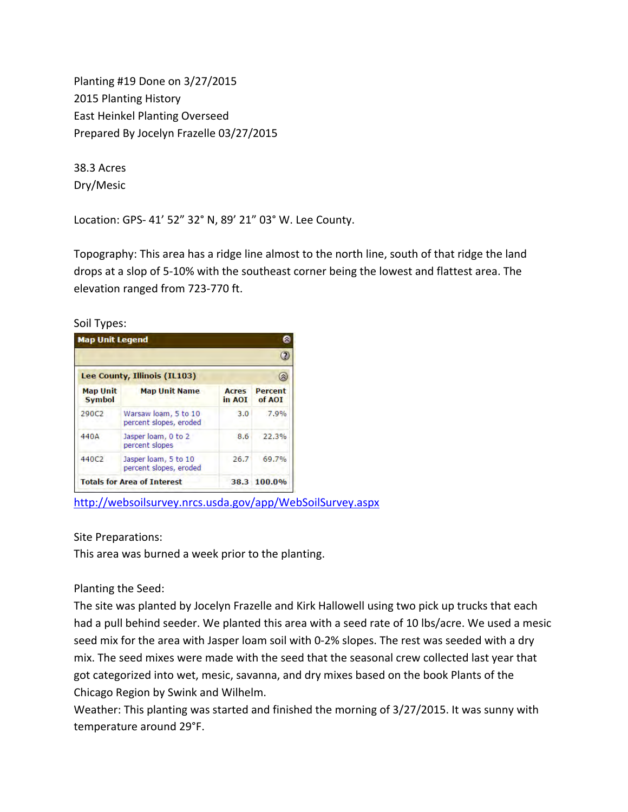Planting #19 Done on 3/27/2015 2015 Planting History East Heinkel Planting Overseed Prepared By Jocelyn Frazelle 03/27/2015

38.3 Acres Dry/Mesic

Location: GPS‐ 41' 52" 32° N, 89' 21" 03° W. Lee County.

Topography: This area has a ridge line almost to the north line, south of that ridge the land drops at a slop of 5‐10% with the southeast corner being the lowest and flattest area. The elevation ranged from 723‐770 ft.

Soil Types:

| <b>Map Unit Legend</b>             |                                                |                        |                          |
|------------------------------------|------------------------------------------------|------------------------|--------------------------|
|                                    |                                                |                        |                          |
| Lee County, Illinois (IL103)       |                                                |                        |                          |
| <b>Map Unit</b><br><b>Symbol</b>   | <b>Map Unit Name</b>                           | <b>Acres</b><br>in AOT | <b>Percent</b><br>of AOI |
| 290C <sub>2</sub>                  | Warsaw loam, 5 to 10<br>percent slopes, eroded | 3.0                    | 7.9%                     |
| 440A                               | Jasper loam, 0 to 2<br>percent slopes          | 8.6                    | 22.3%                    |
| 440C <sub>2</sub>                  | Jasper loam, 5 to 10<br>percent slopes, eroded | 26.7                   | 69.7%                    |
| <b>Totals for Area of Interest</b> |                                                |                        | 38.3 100.0%              |

<http://websoilsurvey.nrcs.usda.gov/app/WebSoilSurvey.aspx>

Site Preparations:

This area was burned a week prior to the planting.

Planting the Seed:

The site was planted by Jocelyn Frazelle and Kirk Hallowell using two pick up trucks that each had a pull behind seeder. We planted this area with a seed rate of 10 lbs/acre. We used a mesic seed mix for the area with Jasper loam soil with 0-2% slopes. The rest was seeded with a dry mix. The seed mixes were made with the seed that the seasonal crew collected last year that got categorized into wet, mesic, savanna, and dry mixes based on the book Plants of the Chicago Region by Swink and Wilhelm.

Weather: This planting was started and finished the morning of 3/27/2015. It was sunny with temperature around 29°F.